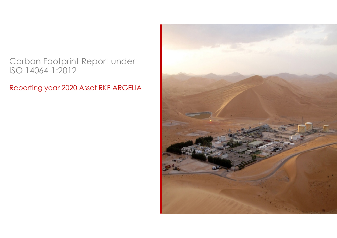## Carbon Footprint Report under ISO 14064-1:2012

Reporting year 2020 Asset RKF ARGELIA